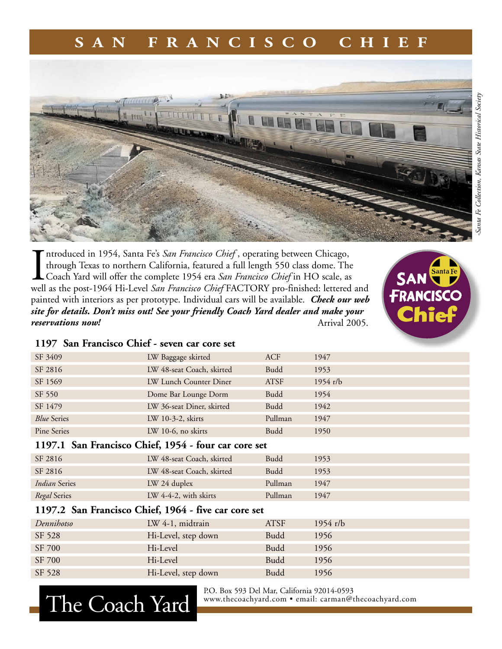## **S A N F R A N C I S C O C H I E F**



Introduced in 1954, Santa Fe's *San Francisco Chief*, operating between Chicago, through Texas to northern California, featured a full length 550 class dome. The Coach Yard will offer the complete 1954 era *San Francisco C* ntroduced in 1954, Santa Fe's *San Francisco Chief* , operating between Chicago, through Texas to northern California, featured a full length 550 class dome. The Coach Yard will offer the complete 1954 era *San Francisco Chief* in HO scale, as painted with interiors as per prototype. Individual cars will be available. *Check our web site for details. Don't miss out! See your friendly Coach Yard dealer and make your reservations now!*  Arrival 2005.



## **1197 San Francisco Chief - seven car core set**

The Coach Yard

| LW 48-seat Coach, skirted<br><b>Budd</b><br>SF 2816<br>1953<br>LW Lunch Counter Diner<br>SF 1569<br><b>ATSF</b><br>$1954$ r/b<br><b>Budd</b><br>Dome Bar Lounge Dorm<br>SF 550<br>1954<br><b>Budd</b><br>SF 1479<br>LW 36-seat Diner, skirted<br>1942<br>Pullman<br><b>Blue Series</b><br>LW 10-3-2, skirts<br>1947<br><b>Budd</b><br>Pine Series<br>$LW$ 10-6, no skirts<br>1950<br>1197.1 San Francisco Chief, 1954 - four car core set<br>SF 2816<br>LW 48-seat Coach, skirted<br><b>Budd</b><br>1953<br>SF 2816<br>LW 48-seat Coach, skirted<br><b>Budd</b><br>1953 |  |  |
|-------------------------------------------------------------------------------------------------------------------------------------------------------------------------------------------------------------------------------------------------------------------------------------------------------------------------------------------------------------------------------------------------------------------------------------------------------------------------------------------------------------------------------------------------------------------------|--|--|
|                                                                                                                                                                                                                                                                                                                                                                                                                                                                                                                                                                         |  |  |
|                                                                                                                                                                                                                                                                                                                                                                                                                                                                                                                                                                         |  |  |
|                                                                                                                                                                                                                                                                                                                                                                                                                                                                                                                                                                         |  |  |
|                                                                                                                                                                                                                                                                                                                                                                                                                                                                                                                                                                         |  |  |
|                                                                                                                                                                                                                                                                                                                                                                                                                                                                                                                                                                         |  |  |
|                                                                                                                                                                                                                                                                                                                                                                                                                                                                                                                                                                         |  |  |
|                                                                                                                                                                                                                                                                                                                                                                                                                                                                                                                                                                         |  |  |
|                                                                                                                                                                                                                                                                                                                                                                                                                                                                                                                                                                         |  |  |
|                                                                                                                                                                                                                                                                                                                                                                                                                                                                                                                                                                         |  |  |
| LW 24 duplex<br>Pullman<br><i>Indian</i> Series<br>1947                                                                                                                                                                                                                                                                                                                                                                                                                                                                                                                 |  |  |
| LW 4-4-2, with skirts<br>Pullman<br>Regal Series<br>1947                                                                                                                                                                                                                                                                                                                                                                                                                                                                                                                |  |  |
| 1197.2 San Francisco Chief, 1964 - five car core set                                                                                                                                                                                                                                                                                                                                                                                                                                                                                                                    |  |  |
| Dennihotso<br>LW 4-1, midtrain<br><b>ATSF</b><br>$1954$ r/b                                                                                                                                                                                                                                                                                                                                                                                                                                                                                                             |  |  |
| <b>Budd</b><br>SF 528<br>Hi-Level, step down<br>1956                                                                                                                                                                                                                                                                                                                                                                                                                                                                                                                    |  |  |
| Hi-Level<br><b>Budd</b><br>SF 700<br>1956                                                                                                                                                                                                                                                                                                                                                                                                                                                                                                                               |  |  |
| Hi-Level<br>SF 700<br><b>Budd</b><br>1956                                                                                                                                                                                                                                                                                                                                                                                                                                                                                                                               |  |  |
| SF 528<br>Hi-Level, step down<br><b>Budd</b><br>1956                                                                                                                                                                                                                                                                                                                                                                                                                                                                                                                    |  |  |

P.O. Box 593 Del Mar, California 92014-0593<br>www.thecoachyard.com • email: carman@thecoachyard.com